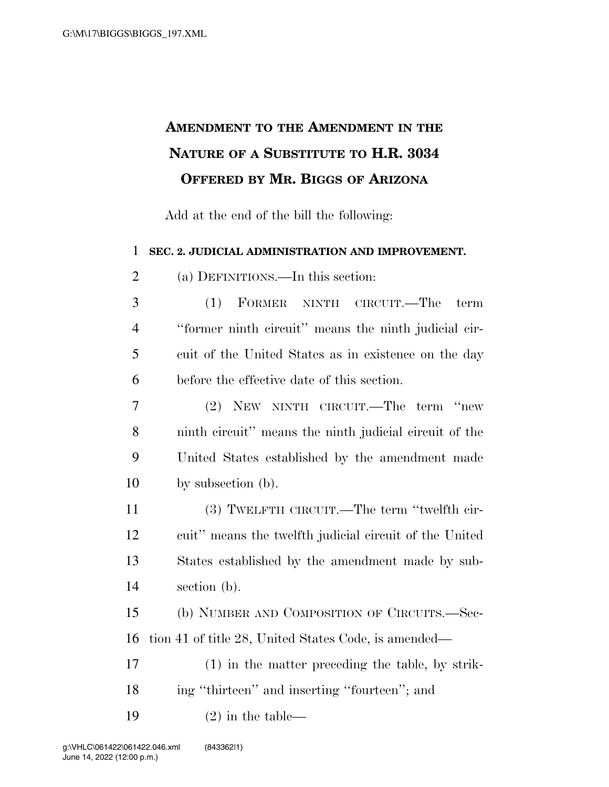## **AMENDMENT TO THE AMENDMENT IN THE NATURE OF A SUBSTITUTE TO H.R. 3034 OFFERED BY MR. BIGGS OF ARIZONA**

Add at the end of the bill the following:

**SEC. 2. JUDICIAL ADMINISTRATION AND IMPROVEMENT.** 

(a) DEFINITIONS.—In this section:

 (1) FORMER NINTH CIRCUIT.—The term ''former ninth circuit'' means the ninth judicial cir- cuit of the United States as in existence on the day before the effective date of this section.

 (2) NEW NINTH CIRCUIT.—The term ''new ninth circuit'' means the ninth judicial circuit of the United States established by the amendment made by subsection (b).

 (3) TWELFTH CIRCUIT.—The term ''twelfth cir- cuit'' means the twelfth judicial circuit of the United States established by the amendment made by sub-section (b).

 (b) NUMBER AND COMPOSITION OF CIRCUITS.—Sec-tion 41 of title 28, United States Code, is amended—

 (1) in the matter preceding the table, by strik-18 ing "thirteen" and inserting "fourteen"; and

19  $(2)$  in the table—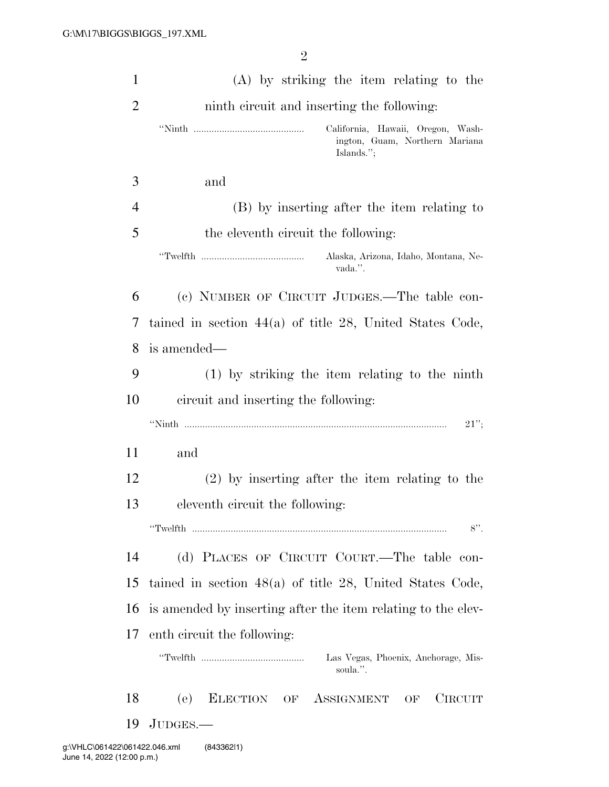| $\mathbf{1}$   | (A) by striking the item relating to the                                          |
|----------------|-----------------------------------------------------------------------------------|
| $\overline{2}$ | ninth circuit and inserting the following:                                        |
|                | California, Hawaii, Oregon, Wash-<br>ington, Guam, Northern Mariana<br>Islands."; |
| 3              | and                                                                               |
| 4              | (B) by inserting after the item relating to                                       |
| 5              | the eleventh circuit the following:                                               |
|                | Alaska, Arizona, Idaho, Montana, Ne-<br>vada.".                                   |
| 6              | (c) NUMBER OF CIRCUIT JUDGES.—The table con-                                      |
| 7              | tained in section $44(a)$ of title 28, United States Code,                        |
| 8              | is amended—                                                                       |
| 9              | $(1)$ by striking the item relating to the ninth                                  |
| 10             | circuit and inserting the following:                                              |
|                | $21$ ";                                                                           |
| 11             | and                                                                               |
| 12             | $(2)$ by inserting after the item relating to the                                 |
| 13             | eleventh circuit the following:                                                   |
|                | $8$ ".                                                                            |
| 14             | (d) PLACES OF CIRCUIT COURT.—The table con-                                       |
| 15             | tained in section $48(a)$ of title 28, United States Code,                        |
| 16             | is amended by inserting after the item relating to the elev-                      |
| 17             | enth circuit the following:                                                       |
|                | Las Vegas, Phoenix, Anchorage, Mis-<br>soula.".                                   |
| 18             | ELECTION OF<br>(e)<br>ASSIGNMENT OF<br><b>CIRCUIT</b>                             |
| 19             | JUDGES.                                                                           |
|                |                                                                                   |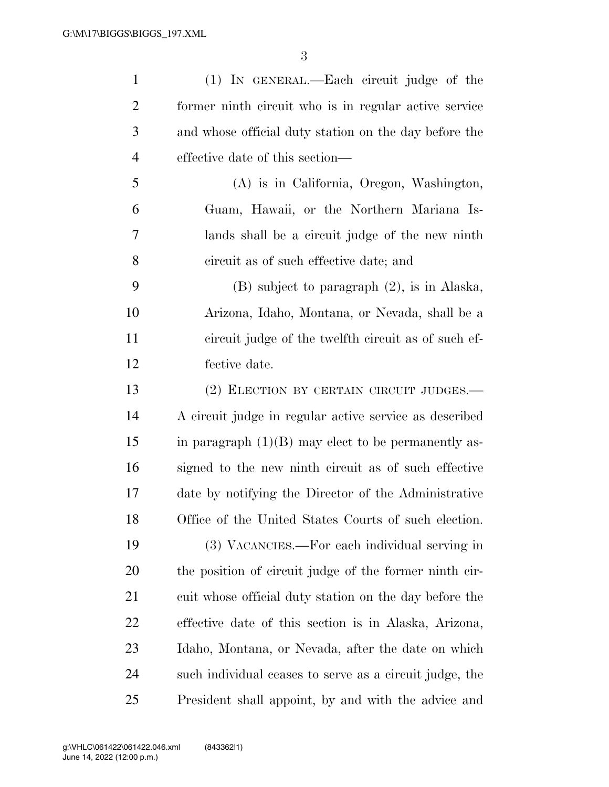| $\mathbf{1}$   | (1) IN GENERAL.—Each circuit judge of the               |
|----------------|---------------------------------------------------------|
| $\overline{2}$ | former ninth circuit who is in regular active service   |
| 3              | and whose official duty station on the day before the   |
| $\overline{4}$ | effective date of this section—                         |
| 5              | (A) is in California, Oregon, Washington,               |
| 6              | Guam, Hawaii, or the Northern Mariana Is-               |
| 7              | lands shall be a circuit judge of the new ninth         |
| 8              | circuit as of such effective date; and                  |
| 9              | $(B)$ subject to paragraph $(2)$ , is in Alaska,        |
| 10             | Arizona, Idaho, Montana, or Nevada, shall be a          |
| 11             | circuit judge of the twelfth circuit as of such ef-     |
| 12             | fective date.                                           |
| 13             | (2) ELECTION BY CERTAIN CIRCUIT JUDGES.—                |
| 14             | A circuit judge in regular active service as described  |
| 15             | in paragraph $(1)(B)$ may elect to be permanently as-   |
| 16             | signed to the new ninth circuit as of such effective    |
| 17             | date by notifying the Director of the Administrative    |
| 18             | Office of the United States Courts of such election.    |
| 19             | (3) VACANCIES.—For each individual serving in           |
| 20             | the position of circuit judge of the former ninth cir-  |
| 21             | cuit whose official duty station on the day before the  |
| <u>22</u>      | effective date of this section is in Alaska, Arizona,   |
| 23             | Idaho, Montana, or Nevada, after the date on which      |
| 24             | such individual ceases to serve as a circuit judge, the |
| 25             | President shall appoint, by and with the advice and     |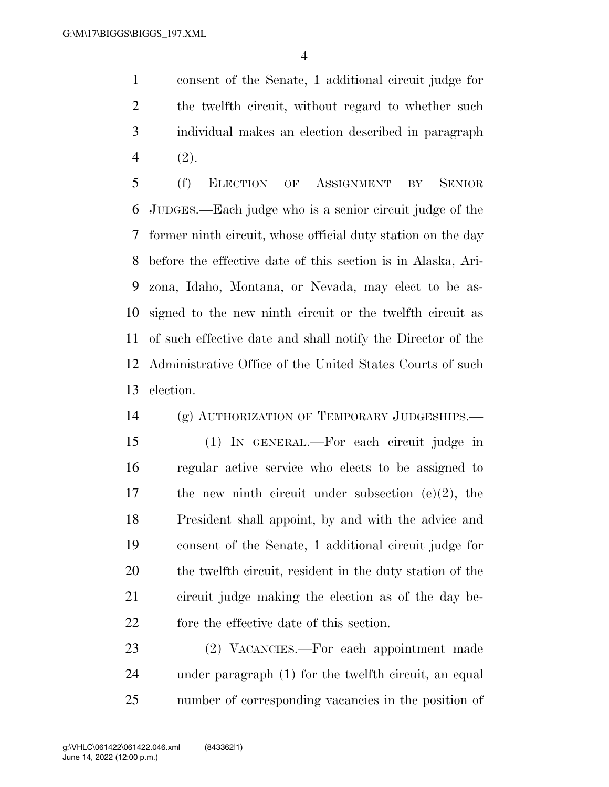consent of the Senate, 1 additional circuit judge for the twelfth circuit, without regard to whether such individual makes an election described in paragraph (2).

 (f) ELECTION OF ASSIGNMENT BY SENIOR JUDGES.—Each judge who is a senior circuit judge of the former ninth circuit, whose official duty station on the day before the effective date of this section is in Alaska, Ari- zona, Idaho, Montana, or Nevada, may elect to be as- signed to the new ninth circuit or the twelfth circuit as of such effective date and shall notify the Director of the Administrative Office of the United States Courts of such election.

(g) AUTHORIZATION OF TEMPORARY JUDGESHIPS.—

 (1) IN GENERAL.—For each circuit judge in regular active service who elects to be assigned to the new ninth circuit under subsection (e)(2), the President shall appoint, by and with the advice and consent of the Senate, 1 additional circuit judge for the twelfth circuit, resident in the duty station of the circuit judge making the election as of the day be-fore the effective date of this section.

 (2) VACANCIES.—For each appointment made under paragraph (1) for the twelfth circuit, an equal number of corresponding vacancies in the position of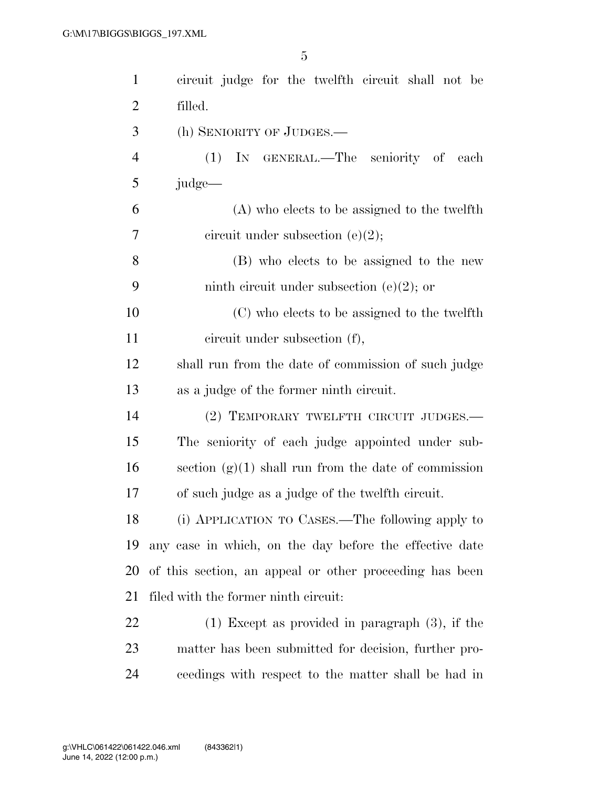| $\mathbf{1}$   | circuit judge for the twelfth circuit shall not be      |
|----------------|---------------------------------------------------------|
| $\overline{2}$ | filled.                                                 |
| 3              | (h) SENIORITY OF JUDGES.                                |
| $\overline{4}$ | IN GENERAL.—The seniority of each<br>(1)                |
| 5              | judge—                                                  |
| 6              | (A) who elects to be assigned to the twelfth            |
| $\tau$         | circuit under subsection $(e)(2)$ ;                     |
| 8              | (B) who elects to be assigned to the new                |
| 9              | ninth circuit under subsection (e)(2); or               |
| 10             | (C) who elects to be assigned to the twelfth            |
| 11             | circuit under subsection (f),                           |
| 12             | shall run from the date of commission of such judge     |
| 13             | as a judge of the former ninth circuit.                 |
| 14             | (2) TEMPORARY TWELFTH CIRCUIT JUDGES.—                  |
| 15             | The seniority of each judge appointed under sub-        |
| 16             | section $(g)(1)$ shall run from the date of commission  |
| 17             | of such judge as a judge of the twelfth circuit.        |
| 18             | (i) APPLICATION TO CASES.—The following apply to        |
| 19             | any case in which, on the day before the effective date |
| 20             | of this section, an appeal or other proceeding has been |
| 21             | filed with the former ninth circuit:                    |
| 22             | $(1)$ Except as provided in paragraph $(3)$ , if the    |
| 23             | matter has been submitted for decision, further pro-    |
| 24             | ceedings with respect to the matter shall be had in     |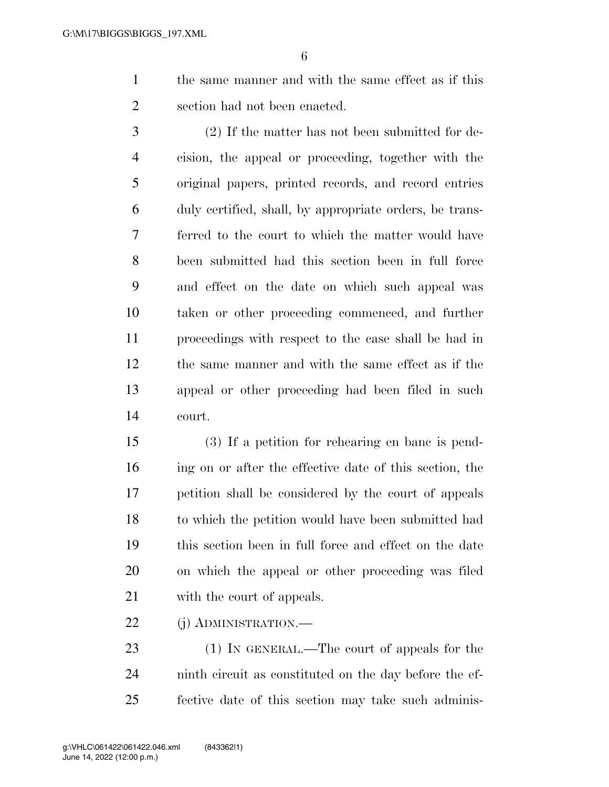the same manner and with the same effect as if this section had not been enacted.

 (2) If the matter has not been submitted for de- cision, the appeal or proceeding, together with the original papers, printed records, and record entries duly certified, shall, by appropriate orders, be trans- ferred to the court to which the matter would have been submitted had this section been in full force and effect on the date on which such appeal was taken or other proceeding commenced, and further proceedings with respect to the case shall be had in the same manner and with the same effect as if the appeal or other proceeding had been filed in such court.

 (3) If a petition for rehearing en banc is pend- ing on or after the effective date of this section, the petition shall be considered by the court of appeals to which the petition would have been submitted had this section been in full force and effect on the date on which the appeal or other proceeding was filed with the court of appeals.

22 (j) ADMINISTRATION.—

23 (1) IN GENERAL.—The court of appeals for the ninth circuit as constituted on the day before the ef-fective date of this section may take such adminis-